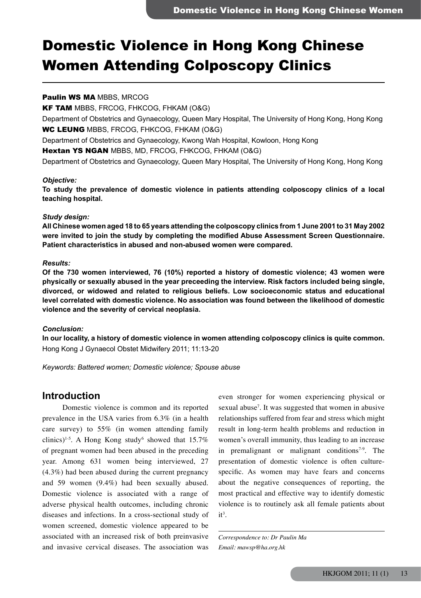# Domestic Violence in Hong Kong Chinese Women Attending Colposcopy Clinics

## Paulin WS MA MBBS, MRCOG

KF TAM MBBS, FRCOG, FHKCOG, FHKAM (O&G)

Department of Obstetrics and Gynaecology, Queen Mary Hospital, The University of Hong Kong, Hong Kong WC LEUNG MBBS, FRCOG, FHKCOG, FHKAM (O&G)

Department of Obstetrics and Gynaecology, Kwong Wah Hospital, Kowloon, Hong Kong

Hextan YS NGAN MBBS, MD, FRCOG, FHKCOG, FHKAM (O&G)

Department of Obstetrics and Gynaecology, Queen Mary Hospital, The University of Hong Kong, Hong Kong

#### *Objective:*

**To study the prevalence of domestic violence in patients attending colposcopy clinics of a local teaching hospital.**

### *Study design:*

**All Chinese women aged 18 to 65 years attending the colposcopy clinics from 1 June 2001 to 31 May 2002 were invited to join the study by completing the modified Abuse Assessment Screen Questionnaire. Patient characteristics in abused and non-abused women were compared.**

### *Results:*

**Of the 730 women interviewed, 76 (10%) reported a history of domestic violence; 43 women were physically or sexually abused in the year preceeding the interview. Risk factors included being single, divorced, or widowed and related to religious beliefs. Low socioeconomic status and educational level correlated with domestic violence. No association was found between the likelihood of domestic violence and the severity of cervical neoplasia.** 

#### *Conclusion:*

**In our locality, a history of domestic violence in women attending colposcopy clinics is quite common.** Hong Kong J Gynaecol Obstet Midwifery 2011; 11:13-20

*Keywords: Battered women; Domestic violence; Spouse abuse*

## **Introduction**

 Domestic violence is common and its reported prevalence in the USA varies from 6.3% (in a health care survey) to 55% (in women attending family clinics)<sup>1-5</sup>. A Hong Kong study<sup>6</sup> showed that 15.7% of pregnant women had been abused in the preceding year. Among 631 women being interviewed, 27 (4.3%) had been abused during the current pregnancy and 59 women (9.4%) had been sexually abused. Domestic violence is associated with a range of adverse physical health outcomes, including chronic diseases and infections. In a cross-sectional study of women screened, domestic violence appeared to be associated with an increased risk of both preinvasive and invasive cervical diseases. The association was

even stronger for women experiencing physical or sexual abuse7 . It was suggested that women in abusive relationships suffered from fear and stress which might result in long-term health problems and reduction in women's overall immunity, thus leading to an increase in premalignant or malignant conditions<sup> $7-9$ </sup>. The presentation of domestic violence is often culturespecific. As women may have fears and concerns about the negative consequences of reporting, the most practical and effective way to identify domestic violence is to routinely ask all female patients about  $it^3$ .

*Correspondence to: Dr Paulin Ma Email: mawsp@ha.org.hk*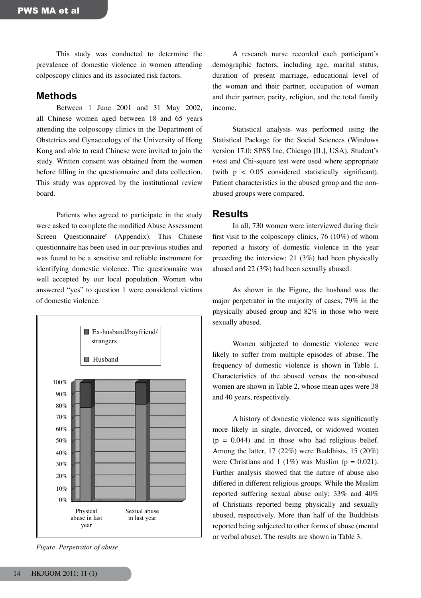This study was conducted to determine the prevalence of domestic violence in women attending colposcopy clinics and its associated risk factors.

## **Methods**

 Between 1 June 2001 and 31 May 2002, all Chinese women aged between 18 and 65 years attending the colposcopy clinics in the Department of Obstetrics and Gynaecology of the University of Hong Kong and able to read Chinese were invited to join the study. Written consent was obtained from the women before filling in the questionnaire and data collection. This study was approved by the institutional review board.

 Patients who agreed to participate in the study were asked to complete the modified Abuse Assessment Screen Questionnaire<sup>6</sup> (Appendix). This Chinese questionnaire has been used in our previous studies and was found to be a sensitive and reliable instrument for identifying domestic violence. The questionnaire was well accepted by our local population. Women who answered "yes" to question 1 were considered victims of domestic violence.



*Figure. Perpetrator of abuse*

 A research nurse recorded each participant's demographic factors, including age, marital status, duration of present marriage, educational level of the woman and their partner, occupation of woman and their partner, parity, religion, and the total family income.

 Statistical analysis was performed using the Statistical Package for the Social Sciences (Windows version 17.0; SPSS Inc, Chicago [IL], USA). Student's *t*-test and Chi-square test were used where appropriate (with p < 0.05 considered statistically significant). Patient characteristics in the abused group and the nonabused groups were compared.

## **Results**

 In all, 730 women were interviewed during their first visit to the colposcopy clinics, 76 (10%) of whom reported a history of domestic violence in the year preceding the interview; 21 (3%) had been physically abused and 22 (3%) had been sexually abused.

 As shown in the Figure, the husband was the major perpetrator in the majority of cases; 79% in the physically abused group and 82% in those who were sexually abused.

 Women subjected to domestic violence were likely to suffer from multiple episodes of abuse. The frequency of domestic violence is shown in Table 1. Characteristics of the abused versus the non-abused women are shown in Table 2, whose mean ages were 38 and 40 years, respectively.

 A history of domestic violence was significantly more likely in single, divorced, or widowed women  $(p = 0.044)$  and in those who had religious belief. Among the latter, 17 (22%) were Buddhists, 15 (20%) were Christians and 1 (1%) was Muslim ( $p = 0.021$ ). Further analysis showed that the nature of abuse also differed in different religious groups. While the Muslim reported suffering sexual abuse only; 33% and 40% of Christians reported being physically and sexually abused, respectively. More than half of the Buddhists reported being subjected to other forms of abuse (mental or verbal abuse). The results are shown in Table 3.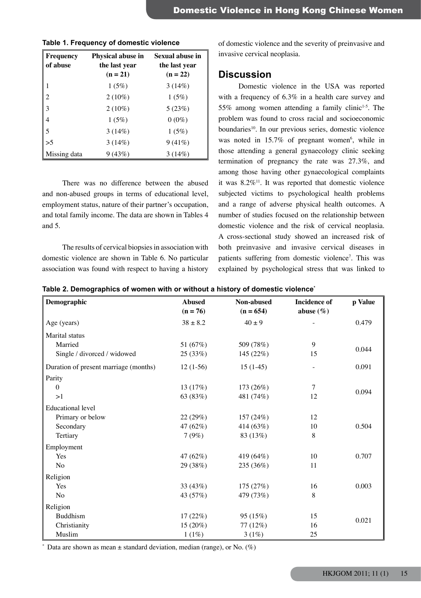| Frequency      | Physical abuse in | Sexual abuse in |
|----------------|-------------------|-----------------|
| of abuse       | the last year     | the last year   |
|                | $(n = 21)$        | $(n = 22)$      |
|                | 1(5%)             | 3(14%)          |
| $\overline{2}$ | $2(10\%)$         | 1(5%)           |
| $\overline{3}$ | $2(10\%)$         | 5(23%)          |
| 4              | 1(5%)             | $0(0\%)$        |
| 5              | 3(14%)            | 1(5%)           |
| >5             | 3(14%)            | 9(41%)          |
| Missing data   | 9(43%)            | 3(14%)          |

## **Table 1. Frequency of domestic violence**

 There was no difference between the abused and non-abused groups in terms of educational level, employment status, nature of their partner's occupation, and total family income. The data are shown in Tables 4 and 5.

The results of cervical biopsies in association with domestic violence are shown in Table 6. No particular association was found with respect to having a history of domestic violence and the severity of preinvasive and invasive cervical neoplasia.

## **Discussion**

 Domestic violence in the USA was reported with a frequency of 6.3% in a health care survey and 55% among women attending a family clinic<sup>1-5</sup>. The problem was found to cross racial and socioeconomic boundaries<sup>10</sup>. In our previous series, domestic violence was noted in  $15.7\%$  of pregnant women<sup>6</sup>, while in those attending a general gynaecology clinic seeking termination of pregnancy the rate was 27.3%, and among those having other gynaecological complaints it was  $8.2\%$ <sup>11</sup>. It was reported that domestic violence subjected victims to psychological health problems and a range of adverse physical health outcomes. A number of studies focused on the relationship between domestic violence and the risk of cervical neoplasia. A cross-sectional study showed an increased risk of both preinvasive and invasive cervical diseases in patients suffering from domestic violence<sup>7</sup>. This was explained by psychological stress that was linked to

| Demographic<br><b>Abused</b><br>Non-abused |              |             | <b>Incidence</b> of      | p Value |
|--------------------------------------------|--------------|-------------|--------------------------|---------|
|                                            | $(n = 76)$   | $(n = 654)$ | abuse $(\% )$            |         |
| Age (years)                                | $38 \pm 8.2$ | $40 \pm 9$  |                          | 0.479   |
| Marital status                             |              |             |                          |         |
| Married                                    | 51 (67%)     | 509 (78%)   | 9                        |         |
| Single / divorced / widowed                | 25 (33%)     | 145 (22%)   | 15                       | 0.044   |
| Duration of present marriage (months)      | $12(1-56)$   | $15(1-45)$  | $\overline{\phantom{a}}$ | 0.091   |
| Parity                                     |              |             |                          |         |
| $\theta$                                   | 13(17%)      | 173 (26%)   | 7                        | 0.094   |
| >1                                         | 63 (83%)     | 481 (74%)   | 12                       |         |
| <b>Educational level</b>                   |              |             |                          |         |
| Primary or below                           | 22 (29%)     | 157 (24%)   | 12                       |         |
| Secondary                                  | 47 (62%)     | 414 (63%)   | 10                       | 0.504   |
| Tertiary                                   | 7(9%)        | 83 (13%)    | 8                        |         |
| Employment                                 |              |             |                          |         |
| Yes                                        | 47 (62%)     | 419 (64%)   | 10                       | 0.707   |
| No                                         | 29 (38%)     | 235 (36%)   | 11                       |         |
| Religion                                   |              |             |                          |         |
| Yes                                        | 33 (43%)     | 175 (27%)   | 16                       | 0.003   |
| No                                         | 43 (57%)     | 479 (73%)   | 8                        |         |
| Religion                                   |              |             |                          |         |
| <b>Buddhism</b>                            | 17(22%)      | 95 (15%)    | 15                       | 0.021   |
| Christianity                               | $15(20\%)$   | 77(12%)     | 16                       |         |
| Muslim                                     | 1(1%)        | 3(1%)       | 25                       |         |

\* Data are shown as mean  $\pm$  standard deviation, median (range), or No. (%)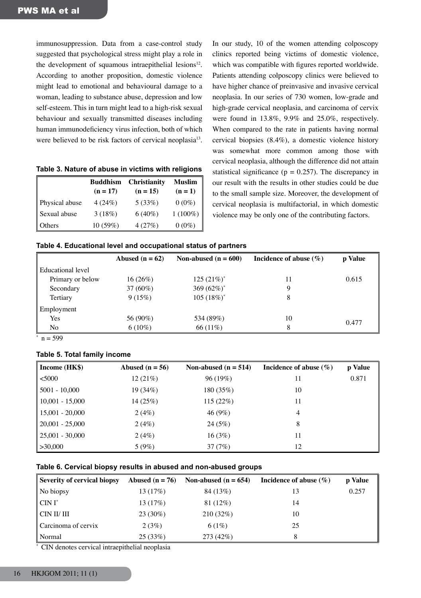immunosuppression. Data from a case-control study suggested that psychological stress might play a role in the development of squamous intraepithelial lesions $12$ . According to another proposition, domestic violence might lead to emotional and behavioural damage to a woman, leading to substance abuse, depression and low self-esteem. This in turn might lead to a high-risk sexual behaviour and sexually transmitted diseases including human immunodeficiency virus infection, both of which were believed to be risk factors of cervical neoplasia<sup>13</sup>.

| Table 3. Nature of abuse in victims with religions |
|----------------------------------------------------|
|----------------------------------------------------|

|                | <b>Buddhism</b><br>$(n = 17)$ | <b>Christianity</b><br>$(n = 15)$ | <b>Muslim</b><br>$(n = 1)$ |
|----------------|-------------------------------|-----------------------------------|----------------------------|
| Physical abuse | 4(24%)                        | 5(33%)                            | $0(0\%)$                   |
| Sexual abuse   | 3(18%)                        | $6(40\%)$                         | $1(100\%)$                 |
| Others         | 10(59%)                       | 4(27%)                            | $0(0\%)$                   |

In our study, 10 of the women attending colposcopy clinics reported being victims of domestic violence, which was compatible with figures reported worldwide. Patients attending colposcopy clinics were believed to have higher chance of preinvasive and invasive cervical neoplasia. In our series of 730 women, low-grade and high-grade cervical neoplasia, and carcinoma of cervix were found in 13.8%, 9.9% and 25.0%, respectively. When compared to the rate in patients having normal cervical biopsies (8.4%), a domestic violence history was somewhat more common among those with cervical neoplasia, although the difference did not attain statistical significance ( $p = 0.257$ ). The discrepancy in our result with the results in other studies could be due to the small sample size. Moreover, the development of cervical neoplasia is multifactorial, in which domestic violence may be only one of the contributing factors.

| Table 4. Educational level and occupational status of partners |  |  |
|----------------------------------------------------------------|--|--|
|----------------------------------------------------------------|--|--|

|                   | Abused ( $n = 62$ ) | Non-abused $(n = 600)$ | Incidence of abuse $(\% )$ | p Value |
|-------------------|---------------------|------------------------|----------------------------|---------|
| Educational level |                     |                        |                            |         |
| Primary or below  | $16(26\%)$          | $125(21%)^*$           | 11                         | 0.615   |
| Secondary         | $37(60\%)$          | 369 $(62\%)^*$         | Q                          |         |
| Tertiary          | 9(15%)              | 105 $(18\%)^*$         |                            |         |
| Employment        |                     |                        |                            |         |
| Yes               | 56 (90%)            | 534 (89%)              | 10                         |         |
| No                | $6(10\%)$           | 66 (11%)               | 8                          | 0.477   |

 $n = 599$ 

#### **Table 5. Total family income**

| Income (HK\$)                 | Abused $(n = 56)$ | Non-abused $(n = 514)$ | Incidence of abuse $(\% )$ | p Value |
|-------------------------------|-------------------|------------------------|----------------------------|---------|
| $5000$                        | 12(21%)           | 96(19%)                |                            | 0.871   |
| $5001 - 10,000$               | 19 (34%)          | 180 (35%)              | 10                         |         |
| $10,001 - 15,000$             | 14(25%)           | 115(22%)               | 11                         |         |
| $15,001 - 20,000$             | 2(4%)             | 46(9%)                 | 4                          |         |
| $\vert 20,001 - 25,000 \vert$ | 2(4%)             | 24(5%)                 | 8                          |         |
| $\vert 25,001 - 30,000 \vert$ | 2(4%)             | 16(3%)                 | 11                         |         |
| $\mid$ > 30,000               | 5(9%)             | 37(7%)                 | 12                         |         |

## **Table 6. Cervical biopsy results in abused and non-abused groups**

| <b>Severity of cervical biopsy</b> | Abused ( $n = 76$ ) | Non-abused $(n = 654)$ | Incidence of abuse $(\% )$ | p Value |
|------------------------------------|---------------------|------------------------|----------------------------|---------|
| No biopsy                          | 13 (17%)            | 84 (13\%)              | 13                         | 0.257   |
| $CINI^*$                           | 13(17%)             | 81 (12%)               | 14                         |         |
| CIN II/ III                        | $23(30\%)$          | 210(32%)               | 10                         |         |
| Carcinoma of cervix                | 2(3%)               | 6(1%)                  | 25                         |         |
| Normal                             | 25(33%)             | 273 (42%)              | 8                          |         |

\* CIN denotes cervical intraepithelial neoplasia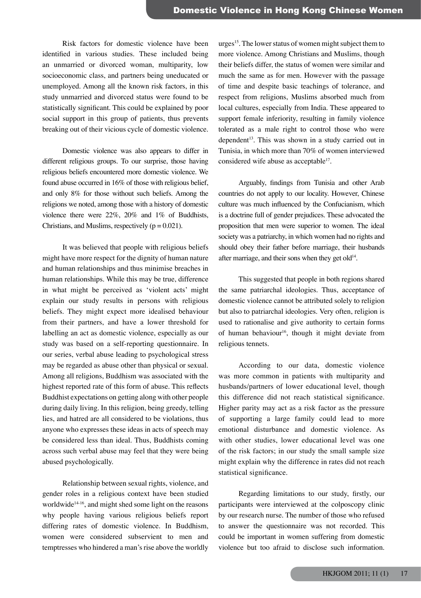Risk factors for domestic violence have been identified in various studies. These included being an unmarried or divorced woman, multiparity, low socioeconomic class, and partners being uneducated or unemployed. Among all the known risk factors, in this study unmarried and divorced status were found to be statistically significant. This could be explained by poor social support in this group of patients, thus prevents breaking out of their vicious cycle of domestic violence.

 Domestic violence was also appears to differ in different religious groups. To our surprise, those having religious beliefs encountered more domestic violence. We found abuse occurred in 16% of those with religious belief, and only 8% for those without such beliefs. Among the religions we noted, among those with a history of domestic violence there were 22%, 20% and 1% of Buddhists, Christians, and Muslims, respectively  $(p = 0.021)$ .

 It was believed that people with religious beliefs might have more respect for the dignity of human nature and human relationships and thus minimise breaches in human relationships. While this may be true, difference in what might be perceived as 'violent acts' might explain our study results in persons with religious beliefs. They might expect more idealised behaviour from their partners, and have a lower threshold for labelling an act as domestic violence, especially as our study was based on a self-reporting questionnaire. In our series, verbal abuse leading to psychological stress may be regarded as abuse other than physical or sexual. Among all religions, Buddhism was associated with the highest reported rate of this form of abuse. This reflects Buddhist expectations on getting along with other people during daily living. In this religion, being greedy, telling lies, and hatred are all considered to be violations, thus anyone who expresses these ideas in acts of speech may be considered less than ideal. Thus, Buddhists coming across such verbal abuse may feel that they were being abused psychologically.

 Relationship between sexual rights, violence, and gender roles in a religious context have been studied worldwide<sup>14-16</sup>, and might shed some light on the reasons why people having various religious beliefs report differing rates of domestic violence. In Buddhism, women were considered subservient to men and temptresses who hindered a man's rise above the worldly

urges<sup>15</sup>. The lower status of women might subject them to more violence. Among Christians and Muslims, though their beliefs differ, the status of women were similar and much the same as for men. However with the passage of time and despite basic teachings of tolerance, and respect from religions, Muslims absorbed much from local cultures, especially from India. These appeared to support female inferiority, resulting in family violence tolerated as a male right to control those who were dependent<sup>13</sup>. This was shown in a study carried out in Tunisia, in which more than 70% of women interviewed considered wife abuse as acceptable<sup>17</sup>.

 Arguably, findings from Tunisia and other Arab countries do not apply to our locality. However, Chinese culture was much influenced by the Confucianism, which is a doctrine full of gender prejudices. These advocated the proposition that men were superior to women. The ideal society was a patriarchy, in which women had no rights and should obey their father before marriage, their husbands after marriage, and their sons when they get old $14$ .

 This suggested that people in both regions shared the same patriarchal ideologies. Thus, acceptance of domestic violence cannot be attributed solely to religion but also to patriarchal ideologies. Very often, religion is used to rationalise and give authority to certain forms of human behaviour<sup>16</sup>, though it might deviate from religious tennets.

 According to our data, domestic violence was more common in patients with multiparity and husbands/partners of lower educational level, though this difference did not reach statistical significance. Higher parity may act as a risk factor as the pressure of supporting a large family could lead to more emotional disturbance and domestic violence. As with other studies, lower educational level was one of the risk factors; in our study the small sample size might explain why the difference in rates did not reach statistical significance.

 Regarding limitations to our study, firstly, our participants were interviewed at the colposcopy clinic by our research nurse. The number of those who refused to answer the questionnaire was not recorded. This could be important in women suffering from domestic violence but too afraid to disclose such information.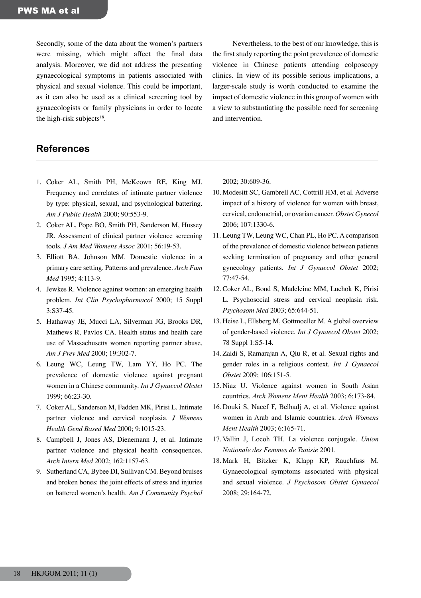Secondly, some of the data about the women's partners were missing, which might affect the final data analysis. Moreover, we did not address the presenting gynaecological symptoms in patients associated with physical and sexual violence. This could be important, as it can also be used as a clinical screening tool by gynaecologists or family physicians in order to locate the high-risk subjects $18$ .

 Nevertheless, to the best of our knowledge, this is the first study reporting the point prevalence of domestic violence in Chinese patients attending colposcopy clinics. In view of its possible serious implications, a larger-scale study is worth conducted to examine the impact of domestic violence in this group of women with a view to substantiating the possible need for screening and intervention.

## **References**

- 1. Coker AL, Smith PH, McKeown RE, King MJ. Frequency and correlates of intimate partner violence by type: physical, sexual, and psychological battering. *Am J Public Health* 2000; 90:553-9.
- 2. Coker AL, Pope BO, Smith PH, Sanderson M, Hussey JR. Assessment of clinical partner violence screening tools. *J Am Med Womens Assoc* 2001; 56:19-53.
- 3. Elliott BA, Johnson MM. Domestic violence in a primary care setting. Patterns and prevalence. *Arch Fam Med* 1995; 4:113-9.
- 4. Jewkes R. Violence against women: an emerging health problem. *Int Clin Psychopharmacol* 2000; 15 Suppl 3:S37-45.
- 5. Hathaway JE, Mucci LA, Silverman JG, Brooks DR, Mathews R, Pavlos CA. Health status and health care use of Massachusetts women reporting partner abuse. *Am J Prev Med* 2000; 19:302-7.
- 6. Leung WC, Leung TW, Lam YY, Ho PC. The prevalence of domestic violence against pregnant women in a Chinese community. *Int J Gynaecol Obstet* 1999; 66:23-30.
- 7. Coker AL, Sanderson M, Fadden MK, Pirisi L. Intimate partner violence and cervical neoplasia. *J Womens Health Gend Based Med* 2000; 9:1015-23.
- 8. Campbell J, Jones AS, Dienemann J, et al. Intimate partner violence and physical health consequences. *Arch Intern Med* 2002; 162:1157-63.
- 9. Sutherland CA, Bybee DI, Sullivan CM. Beyond bruises and broken bones: the joint effects of stress and injuries on battered women's health. *Am J Community Psychol*

2002; 30:609-36.

- 10. Modesitt SC, Gambrell AC, Cottrill HM, et al. Adverse impact of a history of violence for women with breast, cervical, endometrial, or ovarian cancer. *Obstet Gynecol* 2006; 107:1330-6.
- 11. Leung TW, Leung WC, Chan PL, Ho PC. A comparison of the prevalence of domestic violence between patients seeking termination of pregnancy and other general gynecology patients. *Int J Gynaecol Obstet* 2002; 77:47-54.
- 12. Coker AL, Bond S, Madeleine MM, Luchok K, Pirisi L. Psychosocial stress and cervical neoplasia risk. *Psychosom Med* 2003; 65:644-51.
- 13. Heise L, Ellsberg M, Gottmoeller M. A global overview of gender-based violence. *Int J Gynaecol Obstet* 2002; 78 Suppl 1:S5-14.
- 14. Zaidi S, Ramarajan A, Qiu R, et al. Sexual rights and gender roles in a religious context. *Int J Gynaecol Obstet* 2009; 106:151-5.
- 15. Niaz U. Violence against women in South Asian countries. *Arch Womens Ment Health* 2003; 6:173-84.
- 16. Douki S, Nacef F, Belhadj A, et al. Violence against women in Arab and Islamic countries. *Arch Womens Ment Health* 2003; 6:165-71.
- 17. Vallin J, Locoh TH. La violence conjugale. *Union Nationale des Femmes de Tunisie* 2001.
- 18. Mark H, Bitzker K, Klapp KP, Rauchfuss M. Gynaecological symptoms associated with physical and sexual violence. *J Psychosom Obstet Gynaecol* 2008; 29:164-72.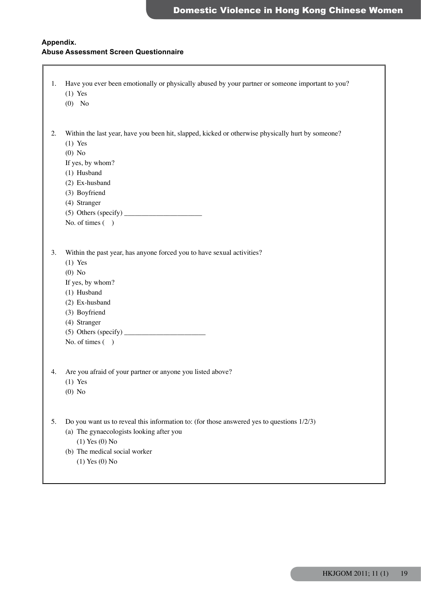## **Appendix. Abuse Assessment Screen Questionnaire**

| 1. | Have you ever been emotionally or physically abused by your partner or someone important to you?<br>$(1)$ Yes<br>$(0)$ No                                                                                                           |
|----|-------------------------------------------------------------------------------------------------------------------------------------------------------------------------------------------------------------------------------------|
| 2. | Within the last year, have you been hit, slapped, kicked or otherwise physically hurt by someone?<br>$(1)$ Yes<br>$(0)$ No<br>If yes, by whom?<br>(1) Husband<br>(2) Ex-husband<br>(3) Boyfriend<br>(4) Stranger<br>No. of times () |
| 3. | Within the past year, has anyone forced you to have sexual activities?<br>$(1)$ Yes<br>$(0)$ No<br>If yes, by whom?<br>(1) Husband<br>(2) Ex-husband<br>(3) Boyfriend<br>(4) Stranger<br>No. of times ()                            |
| 4. | Are you afraid of your partner or anyone you listed above?<br>$(1)$ Yes<br>$(0)$ No                                                                                                                                                 |
| 5. | Do you want us to reveal this information to: (for those answered yes to questions $1/2/3$ )<br>(a) The gynaecologists looking after you<br>$(1)$ Yes $(0)$ No<br>(b) The medical social worker<br>$(1)$ Yes $(0)$ No               |